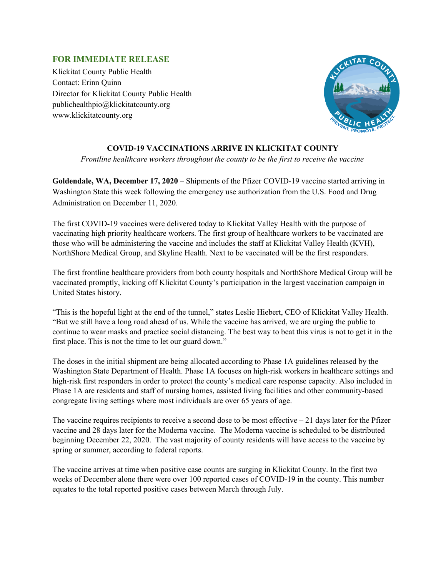## **FOR IMMEDIATE RELEASE**

Klickitat County Public Health Contact: Erinn Quinn Director for Klickitat County Public Health publichealthpio@klickitatcounty.org www.klickitatcounty.org



## **COVID-19 VACCINATIONS ARRIVE IN KLICKITAT COUNTY**

*Frontline healthcare workers throughout the county to be the first to receive the vaccine*

**Goldendale, WA, December 17, 2020** – Shipments of the Pfizer COVID-19 vaccine started arriving in Washington State this week following the emergency use authorization from the U.S. Food and Drug Administration on December 11, 2020.

The first COVID-19 vaccines were delivered today to Klickitat Valley Health with the purpose of vaccinating high priority healthcare workers. The first group of healthcare workers to be vaccinated are those who will be administering the vaccine and includes the staff at Klickitat Valley Health (KVH), NorthShore Medical Group, and Skyline Health. Next to be vaccinated will be the first responders.

The first frontline healthcare providers from both county hospitals and NorthShore Medical Group will be vaccinated promptly, kicking off Klickitat County's participation in the largest vaccination campaign in United States history.

"This is the hopeful light at the end of the tunnel," states Leslie Hiebert, CEO of Klickitat Valley Health. "But we still have a long road ahead of us. While the vaccine has arrived, we are urging the public to continue to wear masks and practice social distancing. The best way to beat this virus is not to get it in the first place. This is not the time to let our guard down."

The doses in the initial shipment are being allocated according to Phase 1A guidelines released by the Washington State Department of Health. Phase 1A focuses on high-risk workers in healthcare settings and high-risk first responders in order to protect the county's medical care response capacity. Also included in Phase 1A are residents and staff of nursing homes, assisted living facilities and other community-based congregate living settings where most individuals are over 65 years of age.

The vaccine requires recipients to receive a second dose to be most effective – 21 days later for the Pfizer vaccine and 28 days later for the Moderna vaccine. The Moderna vaccine is scheduled to be distributed beginning December 22, 2020. The vast majority of county residents will have access to the vaccine by spring or summer, according to federal reports.

The vaccine arrives at time when positive case counts are surging in Klickitat County. In the first two weeks of December alone there were over 100 reported cases of COVID-19 in the county. This number equates to the total reported positive cases between March through July.